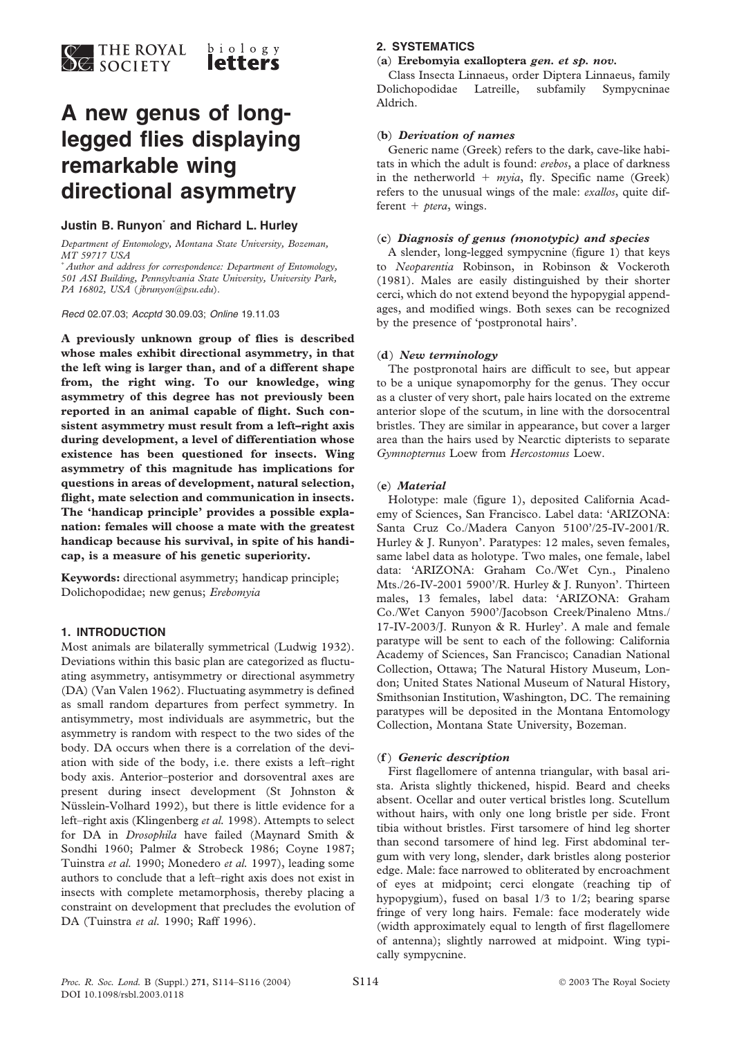

# **A new genus of longlegged flies displaying remarkable wing directional asymmetry**

#### **Justin B. Runyon**\* **and Richard L. Hurley**

*Department of Entomology, Montana State University, Bozeman, MT 59717 USA*

\* *Author and address for correspondence: Department of Entomology, 501 ASI Building, Pennsylvania State University, University Park, PA 16802, USA* (*jbrunyon@psu.edu*).

*Recd* 02.07.03; *Accptd* 30.09.03; *Online* 19.11.03

**A previously unknown group of flies is described whose males exhibit directional asymmetry, in that the left wing is larger than, and of a different shape from, the right wing. To our knowledge, wing asymmetry of this degree has not previously been reported in an animal capable of flight. Such consistent asymmetry must result from a left–right axis during development, a level of differentiation whose existence has been questioned for insects. Wing asymmetry of this magnitude has implications for questions in areas of development, natural selection, flight, mate selection and communication in insects. The 'handicap principle' provides a possible explanation: females will choose a mate with the greatest handicap because his survival, in spite of his handicap, is a measure of his genetic superiority.**

**Keywords:** directional asymmetry; handicap principle; Dolichopodidae; new genus; *Erebomyia*

#### **1. INTRODUCTION**

Most animals are bilaterally symmetrical (Ludwig 1932). Deviations within this basic plan are categorized as fluctuating asymmetry, antisymmetry or directional asymmetry (DA) (Van Valen 1962). Fluctuating asymmetry is defined as small random departures from perfect symmetry. In antisymmetry, most individuals are asymmetric, but the asymmetry is random with respect to the two sides of the body. DA occurs when there is a correlation of the deviation with side of the body, i.e. there exists a left–right body axis. Anterior–posterior and dorsoventral axes are present during insect development (St Johnston & Nüsslein-Volhard 1992), but there is little evidence for a left–right axis (Klingenberg *et al.* 1998). Attempts to select for DA in *Drosophila* have failed (Maynard Smith & Sondhi 1960; Palmer & Strobeck 1986; Coyne 1987; Tuinstra *et al.* 1990; Monedero *et al.* 1997), leading some authors to conclude that a left–right axis does not exist in insects with complete metamorphosis, thereby placing a constraint on development that precludes the evolution of DA (Tuinstra *et al.* 1990; Raff 1996).

## **2. SYSTEMATICS**

### (**a**) **Erebomyia exalloptera** *gen. et sp. nov.*

Class Insecta Linnaeus, order Diptera Linnaeus, family Dolichopodidae Latreille, subfamily Sympycninae Aldrich.

#### (**b**) *Derivation of names*

Generic name (Greek) refers to the dark, cave-like habitats in which the adult is found: *erebos*, a place of darkness in the netherworld  $+$  myia, fly. Specific name (Greek) refers to the unusual wings of the male: *exallos*, quite different  $+$  *ptera*, wings.

#### (**c**) *Diagnosis of genus (monotypic) and species*

A slender, long-legged sympycnine (figure 1) that keys to *Neoparentia* Robinson, in Robinson & Vockeroth (1981). Males are easily distinguished by their shorter cerci, which do not extend beyond the hypopygial appendages, and modified wings. Both sexes can be recognized by the presence of 'postpronotal hairs'.

#### (**d**) *New terminology*

The postpronotal hairs are difficult to see, but appear to be a unique synapomorphy for the genus. They occur as a cluster of very short, pale hairs located on the extreme anterior slope of the scutum, in line with the dorsocentral bristles. They are similar in appearance, but cover a larger area than the hairs used by Nearctic dipterists to separate *Gymnopternus* Loew from *Hercostomus* Loew.

#### (**e**) *Material*

Holotype: male (figure 1), deposited California Academy of Sciences, San Francisco. Label data: 'ARIZONA: Santa Cruz Co./Madera Canyon 5100'/25-IV-2001/R. Hurley & J. Runyon'. Paratypes: 12 males, seven females, same label data as holotype. Two males, one female, label data: 'ARIZONA: Graham Co./Wet Cyn., Pinaleno Mts./26-IV-2001 5900'/R. Hurley & J. Runyon'. Thirteen males, 13 females, label data: 'ARIZONA: Graham Co./Wet Canyon 5900'/Jacobson Creek/Pinaleno Mtns./ 17-IV-2003/J. Runyon & R. Hurley'. A male and female paratype will be sent to each of the following: California Academy of Sciences, San Francisco; Canadian National Collection, Ottawa; The Natural History Museum, London; United States National Museum of Natural History, Smithsonian Institution, Washington, DC. The remaining paratypes will be deposited in the Montana Entomology Collection, Montana State University, Bozeman.

#### (**f** ) *Generic description*

First flagellomere of antenna triangular, with basal arista. Arista slightly thickened, hispid. Beard and cheeks absent. Ocellar and outer vertical bristles long. Scutellum without hairs, with only one long bristle per side. Front tibia without bristles. First tarsomere of hind leg shorter than second tarsomere of hind leg. First abdominal tergum with very long, slender, dark bristles along posterior edge. Male: face narrowed to obliterated by encroachment of eyes at midpoint; cerci elongate (reaching tip of hypopygium), fused on basal 1/3 to 1/2; bearing sparse fringe of very long hairs. Female: face moderately wide (width approximately equal to length of first flagellomere of antenna); slightly narrowed at midpoint. Wing typically sympycnine.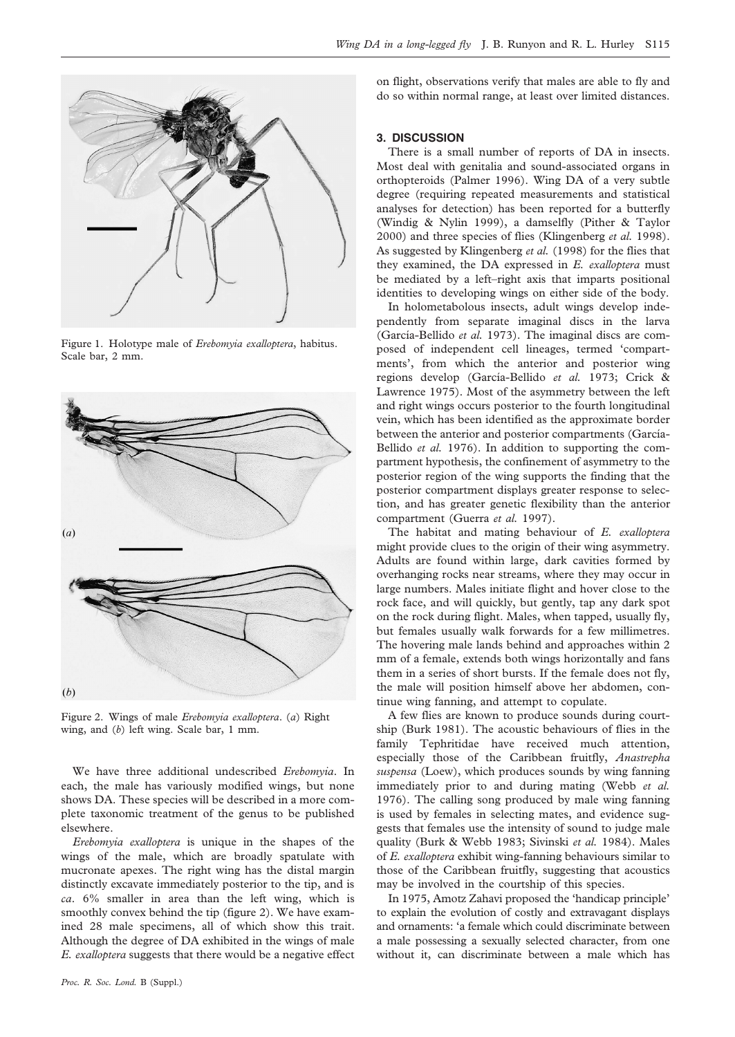

Figure 1. Holotype male of *Erebomyia exalloptera*, habitus. Scale bar, 2 mm.



Figure 2. Wings of male *Erebomyia exalloptera*. (*a*) Right wing, and (*b*) left wing. Scale bar, 1 mm.

We have three additional undescribed *Erebomyia*. In each, the male has variously modified wings, but none shows DA. These species will be described in a more complete taxonomic treatment of the genus to be published elsewhere.

*Erebomyia exalloptera* is unique in the shapes of the wings of the male, which are broadly spatulate with mucronate apexes. The right wing has the distal margin distinctly excavate immediately posterior to the tip, and is *ca*. 6% smaller in area than the left wing, which is smoothly convex behind the tip (figure 2). We have examined 28 male specimens, all of which show this trait. Although the degree of DA exhibited in the wings of male *E. exalloptera* suggests that there would be a negative effect

on flight, observations verify that males are able to fly and do so within normal range, at least over limited distances.

#### **3. DISCUSSION**

There is a small number of reports of DA in insects. Most deal with genitalia and sound-associated organs in orthopteroids (Palmer 1996). Wing DA of a very subtle degree (requiring repeated measurements and statistical analyses for detection) has been reported for a butterfly (Windig & Nylin 1999), a damselfly (Pither & Taylor 2000) and three species of flies (Klingenberg *et al.* 1998). As suggested by Klingenberg *et al.* (1998) for the flies that they examined, the DA expressed in *E. exalloptera* must be mediated by a left–right axis that imparts positional identities to developing wings on either side of the body.

In holometabolous insects, adult wings develop independently from separate imaginal discs in the larva (García-Bellido *et al.* 1973). The imaginal discs are composed of independent cell lineages, termed 'compartments', from which the anterior and posterior wing regions develop (García-Bellido et al. 1973; Crick & Lawrence 1975). Most of the asymmetry between the left and right wings occurs posterior to the fourth longitudinal vein, which has been identified as the approximate border between the anterior and posterior compartments (García-Bellido *et al.* 1976). In addition to supporting the compartment hypothesis, the confinement of asymmetry to the posterior region of the wing supports the finding that the posterior compartment displays greater response to selection, and has greater genetic flexibility than the anterior compartment (Guerra *et al.* 1997).

The habitat and mating behaviour of *E. exalloptera* might provide clues to the origin of their wing asymmetry. Adults are found within large, dark cavities formed by overhanging rocks near streams, where they may occur in large numbers. Males initiate flight and hover close to the rock face, and will quickly, but gently, tap any dark spot on the rock during flight. Males, when tapped, usually fly, but females usually walk forwards for a few millimetres. The hovering male lands behind and approaches within 2 mm of a female, extends both wings horizontally and fans them in a series of short bursts. If the female does not fly, the male will position himself above her abdomen, continue wing fanning, and attempt to copulate.

A few flies are known to produce sounds during courtship (Burk 1981). The acoustic behaviours of flies in the family Tephritidae have received much attention, especially those of the Caribbean fruitfly, *Anastrepha suspensa* (Loew), which produces sounds by wing fanning immediately prior to and during mating (Webb *et al.* 1976). The calling song produced by male wing fanning is used by females in selecting mates, and evidence suggests that females use the intensity of sound to judge male quality (Burk & Webb 1983; Sivinski *et al.* 1984). Males of *E. exalloptera* exhibit wing-fanning behaviours similar to those of the Caribbean fruitfly, suggesting that acoustics may be involved in the courtship of this species.

In 1975, Amotz Zahavi proposed the 'handicap principle' to explain the evolution of costly and extravagant displays and ornaments: 'a female which could discriminate between a male possessing a sexually selected character, from one without it, can discriminate between a male which has